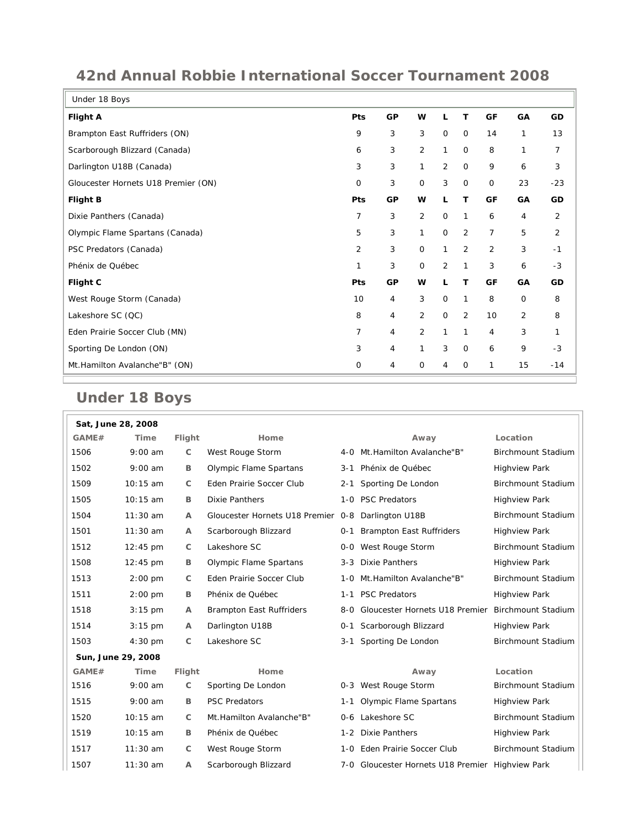## **42nd Annual Robbie International Soccer Tournament 2008**

 $\overline{\phantom{a}}$ 

| Under 18 Boys                       |                |    |                |                |                |             |                |                |
|-------------------------------------|----------------|----|----------------|----------------|----------------|-------------|----------------|----------------|
| <b>Flight A</b>                     | Pts            | GP | W              | L              | т              | GF          | GA             | GD             |
| Brampton East Ruffriders (ON)       | 9              | 3  | 3              | $\mathbf 0$    | $\mathbf 0$    | 14          | 1              | 13             |
| Scarborough Blizzard (Canada)       | 6              | 3  | $\overline{2}$ | 1              | $\mathbf 0$    | 8           | 1              | 7              |
| Darlington U18B (Canada)            | 3              | 3  | 1              | $\overline{2}$ | 0              | 9           | 6              | 3              |
| Gloucester Hornets U18 Premier (ON) | 0              | 3  | 0              | 3              | 0              | $\mathbf 0$ | 23             | $-23$          |
| <b>Flight B</b>                     | Pts            | GP | W              | L              | T              | GF          | GA             | GD             |
| Dixie Panthers (Canada)             | 7              | 3  | $\overline{2}$ | $\mathbf 0$    | 1              | 6           | 4              | $\overline{2}$ |
| Olympic Flame Spartans (Canada)     | 5              | 3  | 1              | $\mathbf 0$    | $\overline{2}$ | 7           | 5              | $\overline{2}$ |
| PSC Predators (Canada)              | $\overline{2}$ | 3  | 0              | 1              | 2              | 2           | 3              | $-1$           |
| Phénix de Québec                    | 1              | 3  | 0              | $\overline{2}$ | 1              | 3           | 6              | $-3$           |
| Flight C                            | Pts            | GP | W              | L              | T              | GF          | GA             | GD             |
| West Rouge Storm (Canada)           | 10             | 4  | 3              | $\mathbf 0$    | 1              | 8           | $\mathbf 0$    | 8              |
| Lakeshore SC (QC)                   | 8              | 4  | $\overline{2}$ | $\mathbf 0$    | $\overline{2}$ | 10          | $\overline{2}$ | 8              |
| Eden Prairie Soccer Club (MN)       | 7              | 4  | $\overline{2}$ | 1              | 1              | 4           | 3              | 1              |
| Sporting De London (ON)             | 3              | 4  | 1              | 3              | 0              | 6           | 9              | $-3$           |
| Mt.Hamilton Avalanche"B" (ON)       | 0              | 4  | 0              | 4              | $\mathbf 0$    | 1           | 15             | $-14$          |

## **Under 18 Boys**

| Sat, June 28, 2008 |                    |              |                                                    |         |                                                  |                           |  |
|--------------------|--------------------|--------------|----------------------------------------------------|---------|--------------------------------------------------|---------------------------|--|
| GAME#              | <b>Time</b>        | Flight       | Home                                               |         | Away                                             | Location                  |  |
| 1506               | $9:00$ am          | C            | West Rouge Storm                                   |         | 4-0 Mt. Hamilton Avalanche"B"                    | <b>Birchmount Stadium</b> |  |
| 1502               | $9:00$ am          | B            | Olympic Flame Spartans                             | $3 - 1$ | Phénix de Québec                                 | <b>Highview Park</b>      |  |
| 1509               | 10:15 am           | C            | Eden Prairie Soccer Club                           | $2 - 1$ | Sporting De London                               | <b>Birchmount Stadium</b> |  |
| 1505               | 10:15 am           | B            | <b>Dixie Panthers</b>                              |         | 1-0 PSC Predators                                | <b>Highview Park</b>      |  |
| 1504               | $11:30$ am         | A            | Gloucester Hornets U18 Premier 0-8 Darlington U18B |         |                                                  | <b>Birchmount Stadium</b> |  |
| 1501               | $11:30$ am         | А            | Scarborough Blizzard                               | $0 - 1$ | <b>Brampton East Ruffriders</b>                  | <b>Highview Park</b>      |  |
| 1512               | $12:45 \text{ pm}$ | C            | Lakeshore SC                                       |         | 0-0 West Rouge Storm                             | Birchmount Stadium        |  |
| 1508               | 12:45 pm           | в            | Olympic Flame Spartans                             |         | 3-3 Dixie Panthers                               | <b>Highview Park</b>      |  |
| 1513               | $2:00$ pm          | C            | Eden Prairie Soccer Club                           | $1 - 0$ | Mt.Hamilton Avalanche"B"                         | <b>Birchmount Stadium</b> |  |
| 1511               | $2:00$ pm          | B            | Phénix de Québec                                   | $1 - 1$ | <b>PSC Predators</b>                             | <b>Highview Park</b>      |  |
| 1518               | $3:15$ pm          | A            | <b>Brampton East Ruffriders</b>                    | 8-0     | Gloucester Hornets U18 Premier                   | <b>Birchmount Stadium</b> |  |
| 1514               | $3:15$ pm          | A            | Darlington U18B                                    | $0 - 1$ | Scarborough Blizzard                             | <b>Highview Park</b>      |  |
| 1503               | 4:30 pm            | $\mathsf{C}$ | Lakeshore SC                                       | 3-1     | Sporting De London                               | Birchmount Stadium        |  |
| Sun, June 29, 2008 |                    |              |                                                    |         |                                                  |                           |  |
| GAME#              | Time               | Flight       | Home                                               |         | Away                                             | Location                  |  |
| 1516               | $9:00$ am          | C            | Sporting De London                                 |         | 0-3 West Rouge Storm                             | Birchmount Stadium        |  |
| 1515               | $9:00$ am          | B            | <b>PSC Predators</b>                               | 1-1     | Olympic Flame Spartans                           | <b>Highview Park</b>      |  |
| 1520               | $10:15$ am         | C            | Mt.Hamilton Avalanche"B"                           |         | 0-6 Lakeshore SC                                 | <b>Birchmount Stadium</b> |  |
| 1519               | 10:15 am           | B            | Phénix de Québec                                   |         | 1-2 Dixie Panthers                               | <b>Highview Park</b>      |  |
| 1517               | $11:30$ am         | C            | West Rouge Storm                                   |         | 1-0 Eden Prairie Soccer Club                     | Birchmount Stadium        |  |
| 1507               | $11:30$ am         | A            | Scarborough Blizzard                               |         | 7-0 Gloucester Hornets U18 Premier Highview Park |                           |  |